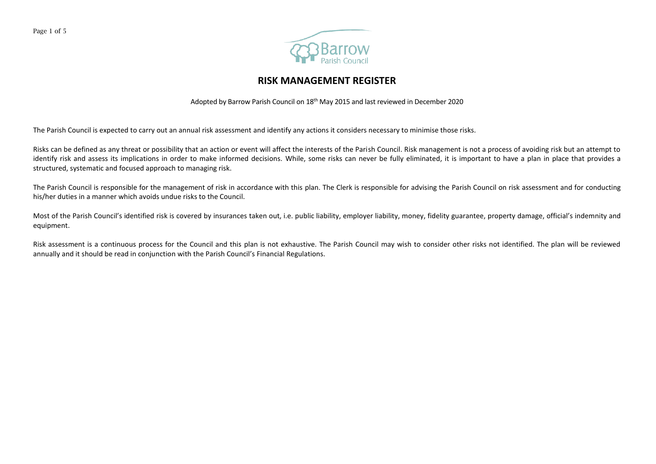

## **RISK MANAGEMENT REGISTER**

Adopted by Barrow Parish Council on 18th May 2015 and last reviewed in December 2020

The Parish Council is expected to carry out an annual risk assessment and identify any actions it considers necessary to minimise those risks.

Risks can be defined as any threat or possibility that an action or event will affect the interests of the Parish Council. Risk management is not a process of avoiding risk but an attempt to identify risk and assess its implications in order to make informed decisions. While, some risks can never be fully eliminated, it is important to have a plan in place that provides a structured, systematic and focused approach to managing risk.

The Parish Council is responsible for the management of risk in accordance with this plan. The Clerk is responsible for advising the Parish Council on risk assessment and for conducting his/her duties in a manner which avoids undue risks to the Council.

Most of the Parish Council's identified risk is covered by insurances taken out, i.e. public liability, employer liability, money, fidelity guarantee, property damage, official's indemnity and equipment.

Risk assessment is a continuous process for the Council and this plan is not exhaustive. The Parish Council may wish to consider other risks not identified. The plan will be reviewed annually and it should be read in conjunction with the Parish Council's Financial Regulations.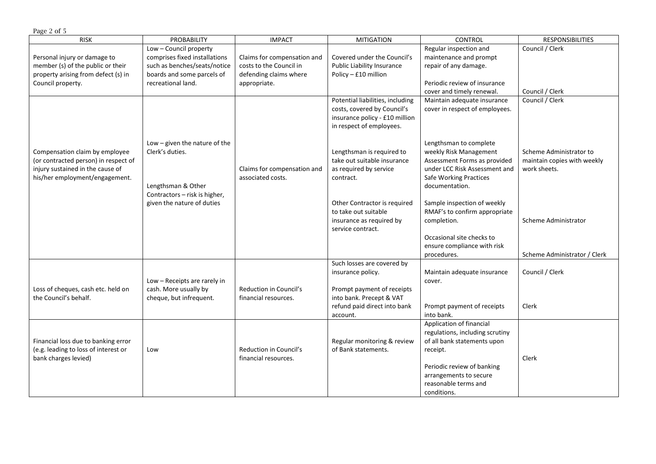| Page 2 of 5                                                                                                                                  |                                                                                                                                             |                                                                                                  |                                                                                                                                           |                                                                                                                                                                                                                     |                                                                        |  |
|----------------------------------------------------------------------------------------------------------------------------------------------|---------------------------------------------------------------------------------------------------------------------------------------------|--------------------------------------------------------------------------------------------------|-------------------------------------------------------------------------------------------------------------------------------------------|---------------------------------------------------------------------------------------------------------------------------------------------------------------------------------------------------------------------|------------------------------------------------------------------------|--|
| <b>RISK</b>                                                                                                                                  | PROBABILITY                                                                                                                                 | <b>IMPACT</b>                                                                                    | <b>MITIGATION</b>                                                                                                                         | <b>CONTROL</b>                                                                                                                                                                                                      | <b>RESPONSIBILITIES</b>                                                |  |
| Personal injury or damage to<br>member (s) of the public or their<br>property arising from defect (s) in<br>Council property.                | Low - Council property<br>comprises fixed installations<br>such as benches/seats/notice<br>boards and some parcels of<br>recreational land. | Claims for compensation and<br>costs to the Council in<br>defending claims where<br>appropriate. | Covered under the Council's<br>Public Liability Insurance<br>Policy - £10 million                                                         | Regular inspection and<br>maintenance and prompt<br>repair of any damage.<br>Periodic review of insurance<br>cover and timely renewal.                                                                              | Council / Clerk<br>Council / Clerk                                     |  |
|                                                                                                                                              |                                                                                                                                             |                                                                                                  | Potential liabilities, including<br>costs, covered by Council's<br>insurance policy - £10 million<br>in respect of employees.             | Maintain adequate insurance<br>cover in respect of employees.                                                                                                                                                       | Council / Clerk                                                        |  |
| Compensation claim by employee<br>(or contracted person) in respect of<br>injury sustained in the cause of<br>his/her employment/engagement. | Low $-$ given the nature of the<br>Clerk's duties.<br>Lengthsman & Other<br>Contractors - risk is higher,<br>given the nature of duties     | Claims for compensation and<br>associated costs.                                                 | Lengthsman is required to<br>take out suitable insurance<br>as required by service<br>contract.                                           | Lengthsman to complete<br>weekly Risk Management<br>Assessment Forms as provided<br>under LCC Risk Assessment and<br><b>Safe Working Practices</b><br>documentation.                                                | Scheme Administrator to<br>maintain copies with weekly<br>work sheets. |  |
|                                                                                                                                              |                                                                                                                                             |                                                                                                  | Other Contractor is required<br>to take out suitable<br>insurance as required by<br>service contract.                                     | Sample inspection of weekly<br>RMAF's to confirm appropriate<br>completion.<br>Occasional site checks to<br>ensure compliance with risk<br>procedures.                                                              | Scheme Administrator<br>Scheme Administrator / Clerk                   |  |
| Loss of cheques, cash etc. held on<br>the Council's behalf.                                                                                  | Low - Receipts are rarely in<br>cash. More usually by<br>cheque, but infrequent.                                                            | Reduction in Council's<br>financial resources.                                                   | Such losses are covered by<br>insurance policy.<br>Prompt payment of receipts<br>into bank. Precept & VAT<br>refund paid direct into bank | Maintain adequate insurance<br>cover.<br>Prompt payment of receipts                                                                                                                                                 | Council / Clerk<br>Clerk                                               |  |
| Financial loss due to banking error<br>(e.g. leading to loss of interest or<br>bank charges levied)                                          | Low                                                                                                                                         | <b>Reduction in Council's</b><br>financial resources.                                            | account.<br>Regular monitoring & review<br>of Bank statements.                                                                            | into bank.<br>Application of financial<br>regulations, including scrutiny<br>of all bank statements upon<br>receipt.<br>Periodic review of banking<br>arrangements to secure<br>reasonable terms and<br>conditions. | Clerk                                                                  |  |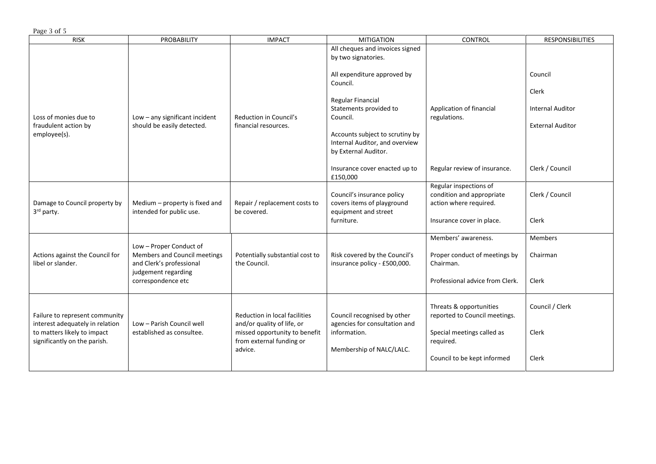Page 3 of 5

| <b>RISK</b>                                                                                                                      | <b>PROBABILITY</b>                                                                                                               | <b>IMPACT</b>                                                                                                                       | <b>MITIGATION</b>                                                                                                                                                                                                                                                                          | CONTROL                                                                                                                            | <b>RESPONSIBILITIES</b>                                                                   |
|----------------------------------------------------------------------------------------------------------------------------------|----------------------------------------------------------------------------------------------------------------------------------|-------------------------------------------------------------------------------------------------------------------------------------|--------------------------------------------------------------------------------------------------------------------------------------------------------------------------------------------------------------------------------------------------------------------------------------------|------------------------------------------------------------------------------------------------------------------------------------|-------------------------------------------------------------------------------------------|
| Loss of monies due to<br>fraudulent action by<br>employee(s).                                                                    | Low - any significant incident<br>should be easily detected.                                                                     | Reduction in Council's<br>financial resources.                                                                                      | All cheques and invoices signed<br>by two signatories.<br>All expenditure approved by<br>Council.<br>Regular Financial<br>Statements provided to<br>Council.<br>Accounts subject to scrutiny by<br>Internal Auditor, and overview<br>by External Auditor.<br>Insurance cover enacted up to | Application of financial<br>regulations.<br>Regular review of insurance.                                                           | Council<br>Clerk<br><b>Internal Auditor</b><br><b>External Auditor</b><br>Clerk / Council |
|                                                                                                                                  |                                                                                                                                  |                                                                                                                                     | £150,000                                                                                                                                                                                                                                                                                   |                                                                                                                                    |                                                                                           |
| Damage to Council property by<br>3rd party.                                                                                      | Medium - property is fixed and<br>intended for public use.                                                                       | Repair / replacement costs to<br>be covered.                                                                                        | Council's insurance policy<br>covers items of playground<br>equipment and street<br>furniture.                                                                                                                                                                                             | Regular inspections of<br>condition and appropriate<br>action where required.<br>Insurance cover in place.                         | Clerk / Council<br>Clerk                                                                  |
|                                                                                                                                  |                                                                                                                                  |                                                                                                                                     |                                                                                                                                                                                                                                                                                            |                                                                                                                                    |                                                                                           |
| Actions against the Council for<br>libel or slander.                                                                             | Low - Proper Conduct of<br>Members and Council meetings<br>and Clerk's professional<br>judgement regarding<br>correspondence etc | Potentially substantial cost to<br>the Council.                                                                                     | Risk covered by the Council's<br>insurance policy - £500,000.                                                                                                                                                                                                                              | Members' awareness.<br>Proper conduct of meetings by<br>Chairman.<br>Professional advice from Clerk.                               | Members<br>Chairman<br>Clerk                                                              |
| Failure to represent community<br>interest adequately in relation<br>to matters likely to impact<br>significantly on the parish. | Low - Parish Council well<br>established as consultee.                                                                           | Reduction in local facilities<br>and/or quality of life, or<br>missed opportunity to benefit<br>from external funding or<br>advice. | Council recognised by other<br>agencies for consultation and<br>information.<br>Membership of NALC/LALC.                                                                                                                                                                                   | Threats & opportunities<br>reported to Council meetings.<br>Special meetings called as<br>required.<br>Council to be kept informed | Council / Clerk<br>Clerk<br>Clerk                                                         |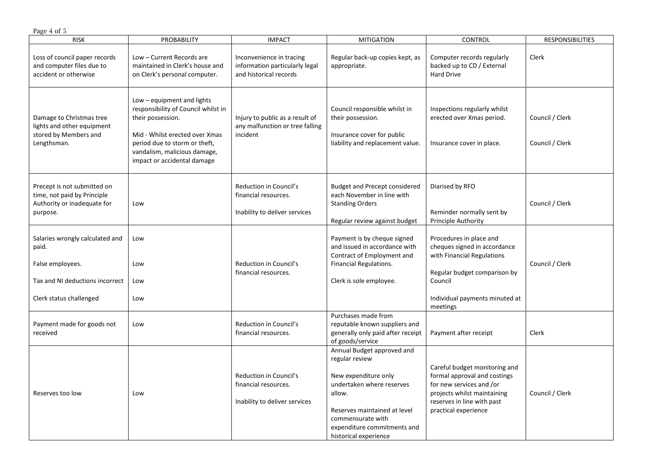| Page 4 of 5                                                                                                                |                                                                                                                                                                                                                          |                                                                                      |                                                                                                                                                                                                                          |                                                                                                                                                                                |                                    |  |
|----------------------------------------------------------------------------------------------------------------------------|--------------------------------------------------------------------------------------------------------------------------------------------------------------------------------------------------------------------------|--------------------------------------------------------------------------------------|--------------------------------------------------------------------------------------------------------------------------------------------------------------------------------------------------------------------------|--------------------------------------------------------------------------------------------------------------------------------------------------------------------------------|------------------------------------|--|
| <b>RISK</b>                                                                                                                | <b>PROBABILITY</b>                                                                                                                                                                                                       | <b>IMPACT</b>                                                                        | <b>MITIGATION</b>                                                                                                                                                                                                        | <b>CONTROL</b>                                                                                                                                                                 | <b>RESPONSIBILITIES</b>            |  |
| Loss of council paper records<br>and computer files due to<br>accident or otherwise                                        | Low - Current Records are<br>maintained in Clerk's house and<br>on Clerk's personal computer.                                                                                                                            | Inconvenience in tracing<br>information particularly legal<br>and historical records | Regular back-up copies kept, as<br>appropriate.                                                                                                                                                                          | Computer records regularly<br>backed up to CD / External<br><b>Hard Drive</b>                                                                                                  | Clerk                              |  |
| Damage to Christmas tree<br>lights and other equipment<br>stored by Members and<br>Lengthsman.                             | Low - equipment and lights<br>responsibility of Council whilst in<br>their possession.<br>Mid - Whilst erected over Xmas<br>period due to storm or theft,<br>vandalism, malicious damage,<br>impact or accidental damage | Injury to public as a result of<br>any malfunction or tree falling<br>incident       | Council responsible whilst in<br>their possession.<br>Insurance cover for public<br>liability and replacement value.                                                                                                     | Inspections regularly whilst<br>erected over Xmas period.<br>Insurance cover in place.                                                                                         | Council / Clerk<br>Council / Clerk |  |
| Precept is not submitted on<br>time, not paid by Principle<br>Authority or inadequate for<br>purpose.                      | Low                                                                                                                                                                                                                      | Reduction in Council's<br>financial resources.<br>Inability to deliver services      | <b>Budget and Precept considered</b><br>each November in line with<br><b>Standing Orders</b><br>Regular review against budget                                                                                            | Diarised by RFO<br>Reminder normally sent by<br>Principle Authority                                                                                                            | Council / Clerk                    |  |
| Salaries wrongly calculated and<br>paid.<br>False employees.<br>Tax and NI deductions incorrect<br>Clerk status challenged | Low<br>Low<br>Low<br>Low                                                                                                                                                                                                 | Reduction in Council's<br>financial resources.                                       | Payment is by cheque signed<br>and issued in accordance with<br>Contract of Employment and<br>Financial Regulations.<br>Clerk is sole employee.                                                                          | Procedures in place and<br>cheques signed in accordance<br>with Financial Regulations<br>Regular budget comparison by<br>Council<br>Individual payments minuted at<br>meetings | Council / Clerk                    |  |
| Payment made for goods not<br>received                                                                                     | Low                                                                                                                                                                                                                      | <b>Reduction in Council's</b><br>financial resources.                                | Purchases made from<br>reputable known suppliers and<br>generally only paid after receipt<br>of goods/service                                                                                                            | Payment after receipt                                                                                                                                                          | Clerk                              |  |
| Reserves too low                                                                                                           | Low                                                                                                                                                                                                                      | Reduction in Council's<br>financial resources.<br>Inability to deliver services      | Annual Budget approved and<br>regular review<br>New expenditure only<br>undertaken where reserves<br>allow.<br>Reserves maintained at level<br>commensurate with<br>expenditure commitments and<br>historical experience | Careful budget monitoring and<br>formal approval and costings<br>for new services and /or<br>projects whilst maintaining<br>reserves in line with past<br>practical experience | Council / Clerk                    |  |